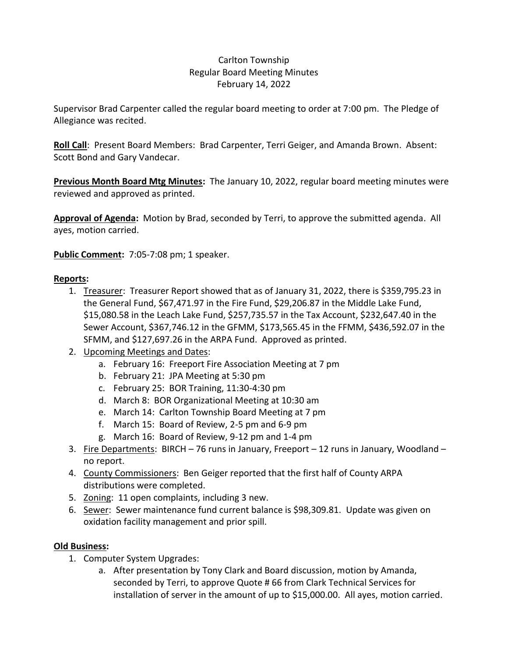## Carlton Township Regular Board Meeting Minutes February 14, 2022

Supervisor Brad Carpenter called the regular board meeting to order at 7:00 pm. The Pledge of Allegiance was recited.

**Roll Call**: Present Board Members: Brad Carpenter, Terri Geiger, and Amanda Brown. Absent: Scott Bond and Gary Vandecar.

**Previous Month Board Mtg Minutes:** The January 10, 2022, regular board meeting minutes were reviewed and approved as printed.

**Approval of Agenda:** Motion by Brad, seconded by Terri, to approve the submitted agenda. All ayes, motion carried.

**Public Comment:** 7:05-7:08 pm; 1 speaker.

## **Reports:**

- 1. Treasurer: Treasurer Report showed that as of January 31, 2022, there is \$359,795.23 in the General Fund, \$67,471.97 in the Fire Fund, \$29,206.87 in the Middle Lake Fund, \$15,080.58 in the Leach Lake Fund, \$257,735.57 in the Tax Account, \$232,647.40 in the Sewer Account, \$367,746.12 in the GFMM, \$173,565.45 in the FFMM, \$436,592.07 in the SFMM, and \$127,697.26 in the ARPA Fund. Approved as printed.
- 2. Upcoming Meetings and Dates:
	- a. February 16: Freeport Fire Association Meeting at 7 pm
	- b. February 21: JPA Meeting at 5:30 pm
	- c. February 25: BOR Training, 11:30-4:30 pm
	- d. March 8: BOR Organizational Meeting at 10:30 am
	- e. March 14: Carlton Township Board Meeting at 7 pm
	- f. March 15: Board of Review, 2-5 pm and 6-9 pm
	- g. March 16: Board of Review, 9-12 pm and 1-4 pm
- 3. Fire Departments: BIRCH 76 runs in January, Freeport 12 runs in January, Woodland no report.
- 4. County Commissioners: Ben Geiger reported that the first half of County ARPA distributions were completed.
- 5. Zoning: 11 open complaints, including 3 new.
- 6. Sewer: Sewer maintenance fund current balance is \$98,309.81. Update was given on oxidation facility management and prior spill.

## **Old Business:**

- 1. Computer System Upgrades:
	- a. After presentation by Tony Clark and Board discussion, motion by Amanda, seconded by Terri, to approve Quote # 66 from Clark Technical Services for installation of server in the amount of up to \$15,000.00. All ayes, motion carried.